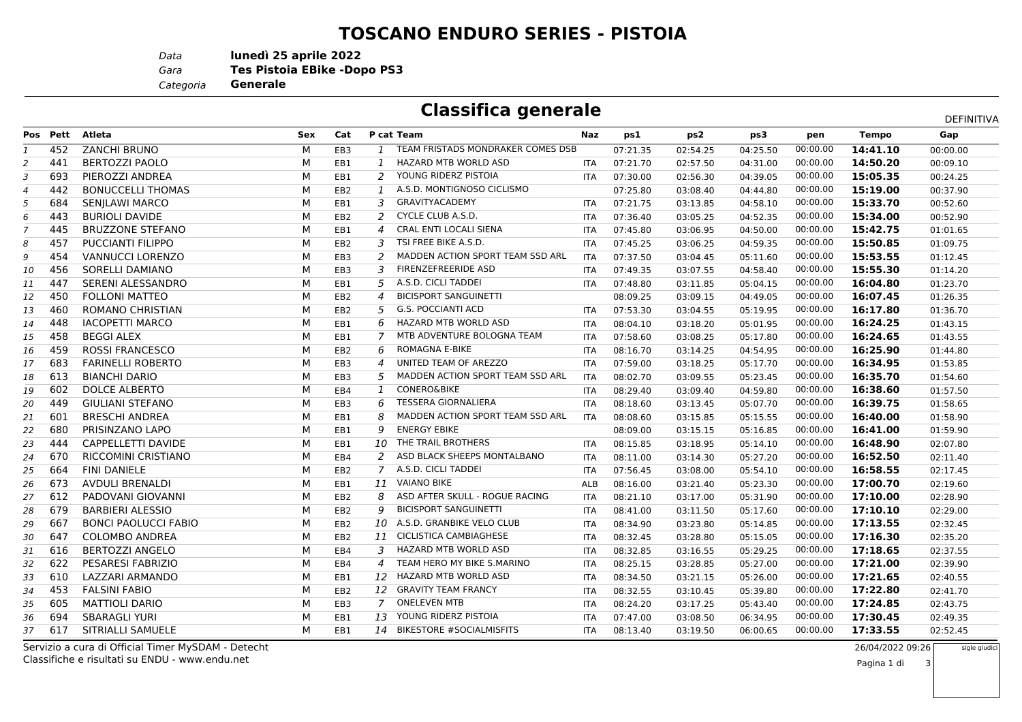## **TOSCANO ENDURO SERIES - PISTOIA**

*Data***lunedì 25 aprile 2022**

*Gara* **Tes Pistoia EBike -Dopo PS3**

*Categoria***Generale**

|        | <b>Classifica generale</b>                |     |        |             |        |         |       | DEFINITIVA |  |
|--------|-------------------------------------------|-----|--------|-------------|--------|---------|-------|------------|--|
| Cat    | P cat Team                                | Naz | ps1    | ps2         | ps3    | pen     | Tempo | Gap        |  |
| $-$ nn | <b>TEAM EDICTABE MONDRAIZED COMEC BER</b> |     | 0.7222 | $225 - 125$ | 0.1252 | 00.0000 |       | 000000     |  |

|    | Pos Pett | Atleta                      | Sex | Cat             |                          | P cat Team                        | Naz        | ps1      | ps2      | ps3      | pen      | Tempo    | Gap      |
|----|----------|-----------------------------|-----|-----------------|--------------------------|-----------------------------------|------------|----------|----------|----------|----------|----------|----------|
|    | 452      | <b>ZANCHI BRUNO</b>         | M   | EB <sub>3</sub> | $\mathbf{1}$             | TEAM FRISTADS MONDRAKER COMES DSB |            | 07:21.35 | 02:54.25 | 04:25.50 | 00:00.00 | 14:41.10 | 00:00.00 |
| 2  | 441      | <b>BERTOZZI PAOLO</b>       | M   | EB1             | $\mathbf{1}$             | <b>HAZARD MTB WORLD ASD</b>       | <b>ITA</b> | 07:21.70 | 02:57.50 | 04:31.00 | 00:00.00 | 14:50.20 | 00:09.10 |
| 3  | 693      | PIEROZZI ANDREA             | M   | EB1             | 2                        | YOUNG RIDERZ PISTOIA              | <b>ITA</b> | 07:30.00 | 02:56.30 | 04:39.05 | 00:00.00 | 15:05.35 | 00:24.25 |
| 4  | 442      | <b>BONUCCELLI THOMAS</b>    | M   | EB <sub>2</sub> |                          | A.S.D. MONTIGNOSO CICLISMO        |            | 07:25.80 | 03:08.40 | 04:44.80 | 00:00.00 | 15:19.00 | 00:37.90 |
| 5  | 684      | SENJLAWI MARCO              | M   | EB1             | 3                        | <b>GRAVITYACADEMY</b>             | <b>ITA</b> | 07:21.75 | 03:13.85 | 04:58.10 | 00:00.00 | 15:33.70 | 00:52.60 |
| 6  | 443      | <b>BURIOLI DAVIDE</b>       | М   | EB <sub>2</sub> | 2                        | CYCLE CLUB A.S.D.                 | <b>ITA</b> | 07:36.40 | 03:05.25 | 04:52.35 | 00:00.00 | 15:34.00 | 00:52.90 |
|    | 445      | <b>BRUZZONE STEFANO</b>     | м   | EB1             | $\overline{a}$           | <b>CRAL ENTI LOCALI SIENA</b>     | <b>ITA</b> | 07:45.80 | 03:06.95 | 04:50.00 | 00:00.00 | 15:42.75 | 01:01.65 |
| 8  | 457      | <b>PUCCIANTI FILIPPO</b>    | М   | EB <sub>2</sub> | 3                        | TSI FREE BIKE A.S.D.              | <b>ITA</b> | 07:45.25 | 03:06.25 | 04:59.35 | 00:00.00 | 15:50.85 | 01:09.75 |
| 9  | 454      | <b>VANNUCCI LORENZO</b>     | M   | EB3             | 2                        | MADDEN ACTION SPORT TEAM SSD ARL  | <b>ITA</b> | 07:37.50 | 03:04.45 | 05:11.60 | 00:00.00 | 15:53.55 | 01:12.45 |
| 10 | 456      | <b>SORELLI DAMIANO</b>      | M   | EB <sub>3</sub> | 3                        | <b>FIRENZEFREERIDE ASD</b>        | <b>ITA</b> | 07:49.35 | 03:07.55 | 04:58.40 | 00:00.00 | 15:55.30 | 01:14.20 |
| 11 | 447      | SERENI ALESSANDRO           | M   | EB1             | 5                        | A.S.D. CICLI TADDEI               | <b>ITA</b> | 07:48.80 | 03:11.85 | 05:04.15 | 00:00.00 | 16:04.80 | 01:23.70 |
| 12 | 450      | <b>FOLLONI MATTEO</b>       | M   | EB <sub>2</sub> | $\boldsymbol{\varDelta}$ | <b>BICISPORT SANGUINETTI</b>      |            | 08:09.25 | 03:09.15 | 04:49.05 | 00:00.00 | 16:07.45 | 01:26.35 |
| 13 | 460      | ROMANO CHRISTIAN            | M   | EB <sub>2</sub> | 5                        | <b>G.S. POCCIANTI ACD</b>         | <b>ITA</b> | 07:53.30 | 03:04.55 | 05:19.95 | 00:00.00 | 16:17.80 | 01:36.70 |
| 14 | 448      | <b>IACOPETTI MARCO</b>      | М   | EB1             | 6                        | HAZARD MTB WORLD ASD              | <b>ITA</b> | 08:04.10 | 03:18.20 | 05:01.95 | 00:00.00 | 16:24.25 | 01:43.15 |
| 15 | 458      | <b>BEGGI ALEX</b>           | M   | EB1             | 7                        | MTB ADVENTURE BOLOGNA TEAM        | <b>ITA</b> | 07:58.60 | 03:08.25 | 05:17.80 | 00:00.00 | 16:24.65 | 01:43.55 |
| 16 | 459      | <b>ROSSI FRANCESCO</b>      | М   | EB <sub>2</sub> | 6                        | ROMAGNA E-BIKE                    | <b>ITA</b> | 08:16.70 | 03:14.25 | 04:54.95 | 00:00.00 | 16:25.90 | 01:44.80 |
| 17 | 683      | <b>FARINELLI ROBERTO</b>    | М   | EB <sub>3</sub> | 4                        | UNITED TEAM OF AREZZO             | <b>ITA</b> | 07:59.00 | 03:18.25 | 05:17.70 | 00:00.00 | 16:34.95 | 01:53.85 |
| 18 | 613      | <b>BIANCHI DARIO</b>        | м   | EB <sub>3</sub> | 5                        | MADDEN ACTION SPORT TEAM SSD ARL  | <b>ITA</b> | 08:02.70 | 03:09.55 | 05:23.45 | 00:00.00 | 16:35.70 | 01:54.60 |
| 19 | 602      | DOLCE ALBERTO               | М   | EB4             | 1                        | <b>CONERO&amp;BIKE</b>            | <b>ITA</b> | 08:29.40 | 03:09.40 | 04:59.80 | 00:00.00 | 16:38.60 | 01:57.50 |
| 20 | 449      | <b>GIULIANI STEFANO</b>     | М   | EB3             | 6                        | <b>TESSERA GIORNALIERA</b>        | <b>ITA</b> | 08:18.60 | 03:13.45 | 05:07.70 | 00:00.00 | 16:39.75 | 01:58.65 |
| 21 | 601      | <b>BRESCHI ANDREA</b>       | м   | EB1             | 8                        | MADDEN ACTION SPORT TEAM SSD ARL  | <b>ITA</b> | 08:08.60 | 03:15.85 | 05:15.55 | 00:00.00 | 16:40.00 | 01:58.90 |
| 22 | 680      | PRISINZANO LAPO             | M   | EB1             | 9                        | <b>ENERGY EBIKE</b>               |            | 08:09.00 | 03:15.15 | 05:16.85 | 00:00.00 | 16:41.00 | 01:59.90 |
| 23 | 444      | CAPPELLETTI DAVIDE          | М   | EB1             | 10                       | THE TRAIL BROTHERS                | <b>ITA</b> | 08:15.85 | 03:18.95 | 05:14.10 | 00:00.00 | 16:48.90 | 02:07.80 |
| 24 | 670      | <b>RICCOMINI CRISTIANO</b>  | М   | EB4             | 2                        | ASD BLACK SHEEPS MONTALBANO       | <b>ITA</b> | 08:11.00 | 03:14.30 | 05:27.20 | 00:00.00 | 16:52.50 | 02:11.40 |
| 25 | 664      | <b>FINI DANIELE</b>         | М   | EB <sub>2</sub> | $\overline{7}$           | A.S.D. CICLI TADDEI               | <b>ITA</b> | 07:56.45 | 03:08.00 | 05:54.10 | 00:00.00 | 16:58.55 | 02:17.45 |
| 26 | 673      | AVDULI BRENALDI             | М   | EB1             | 11                       | <b>VAIANO BIKE</b>                | <b>ALB</b> | 08:16.00 | 03:21.40 | 05:23.30 | 00:00.00 | 17:00.70 | 02:19.60 |
| 27 | 612      | PADOVANI GIOVANNI           | М   | EB <sub>2</sub> | 8                        | ASD AFTER SKULL - ROGUE RACING    | <b>ITA</b> | 08:21.10 | 03:17.00 | 05:31.90 | 00:00.00 | 17:10.00 | 02:28.90 |
| 28 | 679      | <b>BARBIERI ALESSIO</b>     | М   | EB <sub>2</sub> | 9                        | <b>BICISPORT SANGUINETTI</b>      | <b>ITA</b> | 08:41.00 | 03:11.50 | 05:17.60 | 00:00.00 | 17:10.10 | 02:29.00 |
| 29 | 667      | <b>BONCI PAOLUCCI FABIO</b> | М   | EB <sub>2</sub> | 10                       | A.S.D. GRANBIKE VELO CLUB         | <b>ITA</b> | 08:34.90 | 03:23.80 | 05:14.85 | 00:00.00 | 17:13.55 | 02:32.45 |
| 30 | 647      | <b>COLOMBO ANDREA</b>       | м   | EB <sub>2</sub> | 11                       | <b>CICLISTICA CAMBIAGHESE</b>     | <b>ITA</b> | 08:32.45 | 03:28.80 | 05:15.05 | 00:00.00 | 17:16.30 | 02:35.20 |
| 31 | 616      | <b>BERTOZZI ANGELO</b>      | М   | EB4             | 3                        | HAZARD MTB WORLD ASD              | <b>ITA</b> | 08:32.85 | 03:16.55 | 05:29.25 | 00:00.00 | 17:18.65 | 02:37.55 |
| 32 | 622      | PESARESI FABRIZIO           | М   | EB4             | 4                        | TEAM HERO MY BIKE S.MARINO        | <b>ITA</b> | 08:25.15 | 03:28.85 | 05:27.00 | 00:00.00 | 17:21.00 | 02:39.90 |
| 33 | 610      | LAZZARI ARMANDO             | М   | EB1             | 12                       | HAZARD MTB WORLD ASD              | <b>ITA</b> | 08:34.50 | 03:21.15 | 05:26.00 | 00:00.00 | 17:21.65 | 02:40.55 |
| 34 | 453      | <b>FALSINI FABIO</b>        | M   | EB <sub>2</sub> | 12                       | <b>GRAVITY TEAM FRANCY</b>        | ITA        | 08:32.55 | 03:10.45 | 05:39.80 | 00:00.00 | 17:22.80 | 02:41.70 |
| 35 | 605      | <b>MATTIOLI DARIO</b>       | М   | EB3             | 7                        | <b>ONELEVEN MTB</b>               | <b>ITA</b> | 08:24.20 | 03:17.25 | 05:43.40 | 00:00.00 | 17:24.85 | 02:43.75 |
| 36 | 694      | <b>SBARAGLI YURI</b>        | М   | EB1             | 13                       | YOUNG RIDERZ PISTOIA              | <b>ITA</b> | 07:47.00 | 03:08.50 | 06:34.95 | 00:00.00 | 17:30.45 | 02:49.35 |
| 37 | 617      | SITRIALLI SAMUELE           | M   | EB1             |                          | 14 BIKESTORE #SOCIALMISFITS       | <b>ITA</b> | 08:13.40 | 03:19.50 | 06:00.65 | 00:00.00 | 17:33.55 | 02:52.45 |
|    |          |                             |     |                 |                          |                                   |            |          |          |          |          |          |          |

Classifiche e risultati su ENDU - www.endu.netServizio a cura di Official Timer MySDAM - Detecht

26/04/2022 09:26

3

sigle giudici

Pagina 1 di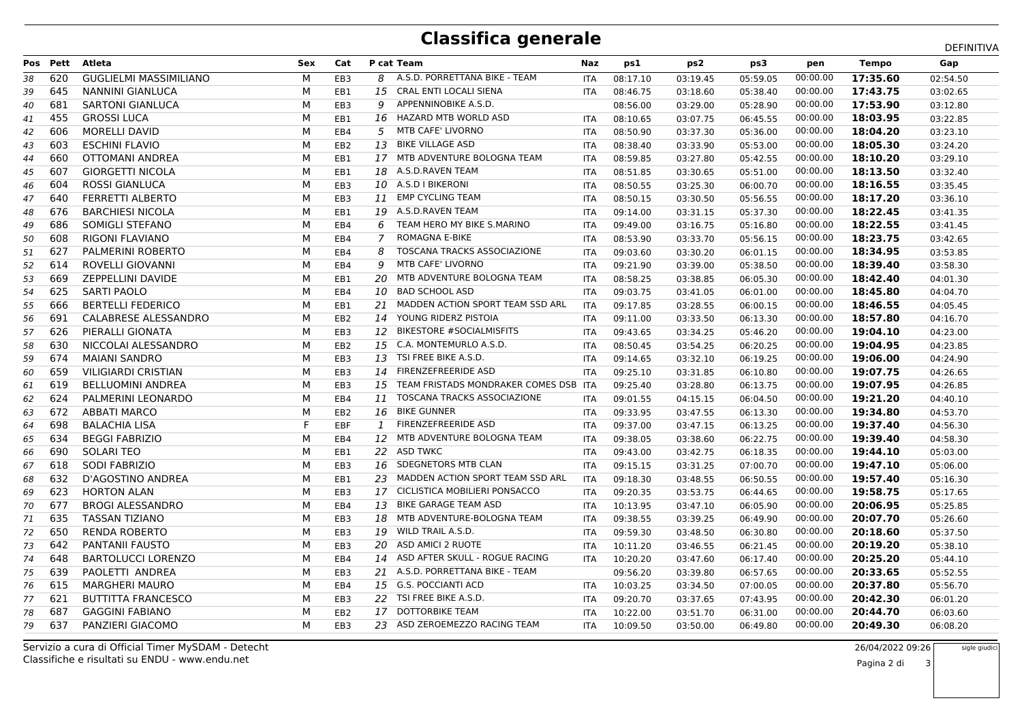## **Classifica generale**

|    |          |                               |            |                 |    |                                       |            |          |          |          |          |              | DEFINITIVA |
|----|----------|-------------------------------|------------|-----------------|----|---------------------------------------|------------|----------|----------|----------|----------|--------------|------------|
|    | Pos Pett | <b>Atleta</b>                 | <b>Sex</b> | Cat             |    | P cat Team                            | Naz        | ps1      | ps2      | ps3      | pen      | <b>Tempo</b> | Gap        |
| 38 | 620      | <b>GUGLIELMI MASSIMILIANO</b> | М          | EB <sub>3</sub> | 8  | A.S.D. PORRETTANA BIKE - TEAM         | <b>ITA</b> | 08:17.10 | 03:19.45 | 05:59.05 | 00:00.00 | 17:35.60     | 02:54.50   |
| 39 | 645      | <b>NANNINI GIANLUCA</b>       | М          | EB1             | 15 | <b>CRAL ENTI LOCALI SIENA</b>         | <b>ITA</b> | 08:46.75 | 03:18.60 | 05:38.40 | 00:00.00 | 17:43.75     | 03:02.65   |
| 40 | 681      | <b>SARTONI GIANLUCA</b>       | M          | EB <sub>3</sub> | 9  | APPENNINOBIKE A.S.D.                  |            | 08:56.00 | 03:29.00 | 05:28.90 | 00:00.00 | 17:53.90     | 03:12.80   |
| 41 | 455      | <b>GROSSI LUCA</b>            | м          | EB1             | 16 | HAZARD MTB WORLD ASD                  | <b>ITA</b> | 08:10.65 | 03:07.75 | 06:45.55 | 00:00.00 | 18:03.95     | 03:22.85   |
| 42 | 606      | <b>MORELLI DAVID</b>          | М          | EB4             | 5  | <b>MTB CAFE' LIVORNO</b>              | <b>ITA</b> | 08:50.90 | 03:37.30 | 05:36.00 | 00:00.00 | 18:04.20     | 03:23.10   |
| 43 | 603      | <b>ESCHINI FLAVIO</b>         | M          | EB <sub>2</sub> | 13 | <b>BIKE VILLAGE ASD</b>               | <b>ITA</b> | 08:38.40 | 03:33.90 | 05:53.00 | 00:00.00 | 18:05.30     | 03:24.20   |
| 44 | 660      | OTTOMANI ANDREA               | м          | EB1             | 17 | MTB ADVENTURE BOLOGNA TEAM            | <b>ITA</b> | 08:59.85 | 03:27.80 | 05:42.55 | 00:00.00 | 18:10.20     | 03:29.10   |
| 45 | 607      | <b>GIORGETTI NICOLA</b>       | M          | EB1             | 18 | A.S.D.RAVEN TEAM                      | <b>ITA</b> | 08:51.85 | 03:30.65 | 05:51.00 | 00:00.00 | 18:13.50     | 03:32.40   |
| 46 | 604      | ROSSI GIANLUCA                | М          | EB3             | 10 | A.S.D I BIKERONI                      | <b>ITA</b> | 08:50.55 | 03:25.30 | 06:00.70 | 00:00.00 | 18:16.55     | 03:35.45   |
| 47 | 640      | <b>FERRETTI ALBERTO</b>       | м          | EB3             | 11 | <b>EMP CYCLING TEAM</b>               | ITA        | 08:50.15 | 03:30.50 | 05:56.55 | 00:00.00 | 18:17.20     | 03:36.10   |
| 48 | 676      | <b>BARCHIESI NICOLA</b>       | м          | EB1             | 19 | A.S.D.RAVEN TEAM                      | <b>ITA</b> | 09:14.00 | 03:31.15 | 05:37.30 | 00:00.00 | 18:22.45     | 03:41.35   |
| 49 | 686      | SOMIGLI STEFANO               | М          | EB4             | 6  | TEAM HERO MY BIKE S.MARINO            | <b>ITA</b> | 09:49.00 | 03:16.75 | 05:16.80 | 00:00.00 | 18:22.55     | 03:41.45   |
| 50 | 608      | <b>RIGONI FLAVIANO</b>        | М          | EB4             | 7  | ROMAGNA E-BIKE                        | <b>ITA</b> | 08:53.90 | 03:33.70 | 05:56.15 | 00:00.00 | 18:23.75     | 03:42.65   |
| 51 | 627      | PALMERINI ROBERTO             | М          | EB4             | 8  | <b>TOSCANA TRACKS ASSOCIAZIONE</b>    | ITA        | 09:03.60 | 03:30.20 | 06:01.15 | 00:00.00 | 18:34.95     | 03:53.85   |
| 52 | 614      | ROVELLI GIOVANNI              | м          | EB4             | 9  | MTB CAFE' LIVORNO                     | <b>ITA</b> | 09:21.90 | 03:39.00 | 05:38.50 | 00:00.00 | 18:39.40     | 03:58.30   |
| 53 | 669      | ZEPPELLINI DAVIDE             | м          | EB1             | 20 | MTB ADVENTURE BOLOGNA TEAM            | <b>ITA</b> | 08:58.25 | 03:38.85 | 06:05.30 | 00:00.00 | 18:42.40     | 04:01.30   |
| 54 | 625      | <b>SARTI PAOLO</b>            | M          | EB4             | 10 | <b>BAD SCHOOL ASD</b>                 | ITA        | 09:03.75 | 03:41.05 | 06:01.00 | 00:00.00 | 18:45.80     | 04:04.70   |
| 55 | 666      | <b>BERTELLI FEDERICO</b>      | М          | EB1             | 21 | MADDEN ACTION SPORT TEAM SSD ARL      | <b>ITA</b> | 09:17.85 | 03:28.55 | 06:00.15 | 00:00.00 | 18:46.55     | 04:05.45   |
| 56 | 691      | CALABRESE ALESSANDRO          | м          | EB <sub>2</sub> | 14 | YOUNG RIDERZ PISTOIA                  | <b>ITA</b> | 09:11.00 | 03:33.50 | 06:13.30 | 00:00.00 | 18:57.80     | 04:16.70   |
| 57 | 626      | PIERALLI GIONATA              | М          | EB3             | 12 | <b>BIKESTORE #SOCIALMISFITS</b>       | ITA        | 09:43.65 | 03:34.25 | 05:46.20 | 00:00.00 | 19:04.10     | 04:23.00   |
| 58 | 630      | NICCOLAI ALESSANDRO           | М          | EB <sub>2</sub> | 15 | C.A. MONTEMURLO A.S.D.                | <b>ITA</b> | 08:50.45 | 03:54.25 | 06:20.25 | 00:00.00 | 19:04.95     | 04:23.85   |
| 59 | 674      | <b>MAIANI SANDRO</b>          | М          | EB <sub>3</sub> |    | 13 TSI FREE BIKE A.S.D.               | <b>ITA</b> | 09:14.65 | 03:32.10 | 06:19.25 | 00:00.00 | 19:06.00     | 04:24.90   |
| 60 | 659      | <b>VILIGIARDI CRISTIAN</b>    | М          | EB3             | 14 | FIRENZEFREERIDE ASD                   | <b>ITA</b> | 09:25.10 | 03:31.85 | 06:10.80 | 00:00.00 | 19:07.75     | 04:26.65   |
| 61 | 619      | <b>BELLUOMINI ANDREA</b>      | М          | EB <sub>3</sub> | 15 | TEAM FRISTADS MONDRAKER COMES DSB ITA |            | 09:25.40 | 03:28.80 | 06:13.75 | 00:00.00 | 19:07.95     | 04:26.85   |
| 62 | 624      | PALMERINI LEONARDO            | М          | EB4             | 11 | <b>TOSCANA TRACKS ASSOCIAZIONE</b>    | <b>ITA</b> | 09:01.55 | 04:15.15 | 06:04.50 | 00:00.00 | 19:21.20     | 04:40.10   |
| 63 | 672      | <b>ABBATI MARCO</b>           | М          | EB <sub>2</sub> | 16 | <b>BIKE GUNNER</b>                    | <b>ITA</b> | 09:33.95 | 03:47.55 | 06:13.30 | 00:00.00 | 19:34.80     | 04:53.70   |
| 64 | 698      | <b>BALACHIA LISA</b>          | F          | EBF             | 1  | FIRENZEFREERIDE ASD                   | <b>ITA</b> | 09:37.00 | 03:47.15 | 06:13.25 | 00:00.00 | 19:37.40     | 04:56.30   |
| 65 | 634      | <b>BEGGI FABRIZIO</b>         | М          | EB4             | 12 | MTB ADVENTURE BOLOGNA TEAM            | <b>ITA</b> | 09:38.05 | 03:38.60 | 06:22.75 | 00:00.00 | 19:39.40     | 04:58.30   |
| 66 | 690      | <b>SOLARI TEO</b>             | M          | EB1             |    | 22 ASD TWKC                           | <b>ITA</b> | 09:43.00 | 03:42.75 | 06:18.35 | 00:00.00 | 19:44.10     | 05:03.00   |
| 67 | 618      | <b>SODI FABRIZIO</b>          | М          | EB3             | 16 | SDEGNETORS MTB CLAN                   | ITA        | 09:15.15 | 03:31.25 | 07:00.70 | 00:00.00 | 19:47.10     | 05:06.00   |
| 68 | 632      | D'AGOSTINO ANDREA             | м          | EB1             | 23 | MADDEN ACTION SPORT TEAM SSD ARL      | <b>ITA</b> | 09:18.30 | 03:48.55 | 06:50.55 | 00:00.00 | 19:57.40     | 05:16.30   |
| 69 | 623      | <b>HORTON ALAN</b>            | M          | EB <sub>3</sub> |    | 17 CICLISTICA MOBILIERI PONSACCO      | <b>ITA</b> | 09:20.35 | 03:53.75 | 06:44.65 | 00:00.00 | 19:58.75     | 05:17.65   |
| 70 | 677      | <b>BROGI ALESSANDRO</b>       | М          | EB4             | 13 | BIKE GARAGE TEAM ASD                  | ITA        | 10:13.95 | 03:47.10 | 06:05.90 | 00:00.00 | 20:06.95     | 05:25.85   |
| 71 | 635      | <b>TASSAN TIZIANO</b>         | М          | EB <sub>3</sub> | 18 | MTB ADVENTURE-BOLOGNA TEAM            | <b>ITA</b> | 09:38.55 | 03:39.25 | 06:49.90 | 00:00.00 | 20:07.70     | 05:26.60   |
| 72 | 650      | <b>RENDA ROBERTO</b>          | M          | EB3             |    | 19 WILD TRAIL A.S.D.                  | ITA        | 09:59.30 | 03:48.50 | 06:30.80 | 00:00.00 | 20:18.60     | 05:37.50   |
| 73 | 642      | <b>PANTANII FAUSTO</b>        | М          | EB <sub>3</sub> | 20 | ASD AMICI 2 RUOTE                     | <b>ITA</b> | 10:11.20 | 03:46.55 | 06:21.45 | 00:00.00 | 20:19.20     | 05:38.10   |
| 74 | 648      | <b>BARTOLUCCI LORENZO</b>     | М          | EB4             | 14 | ASD AFTER SKULL - ROGUE RACING        | <b>ITA</b> | 10:20.20 | 03:47.60 | 06:17.40 | 00:00.00 | 20:25.20     | 05:44.10   |
| 75 | 639      | PAOLETTI ANDREA               | M          | EB3             | 21 | A.S.D. PORRETTANA BIKE - TEAM         |            | 09:56.20 | 03:39.80 | 06:57.65 | 00:00.00 | 20:33.65     | 05:52.55   |
| 76 | 615      | <b>MARGHERI MAURO</b>         | м          | EB4             |    | 15 G.S. POCCIANTI ACD                 | <b>ITA</b> | 10:03.25 | 03:34.50 | 07:00.05 | 00:00.00 | 20:37.80     | 05:56.70   |
| 77 | 621      | <b>BUTTITTA FRANCESCO</b>     | М          | EB <sub>3</sub> | 22 | TSI FREE BIKE A.S.D.                  | <b>ITA</b> | 09:20.70 | 03:37.65 | 07:43.95 | 00:00.00 | 20:42.30     | 06:01.20   |
| 78 | 687      | <b>GAGGINI FABIANO</b>        | М          | EB <sub>2</sub> | 17 | <b>DOTTORBIKE TEAM</b>                | <b>ITA</b> | 10:22.00 | 03:51.70 | 06:31.00 | 00:00.00 | 20:44.70     | 06:03.60   |
| 79 | 637      | PANZIERI GIACOMO              | м          | EB <sub>3</sub> |    | 23 ASD ZEROEMEZZO RACING TEAM         | <b>ITA</b> | 10:09.50 | 03:50.00 | 06:49.80 | 00:00.00 | 20:49.30     | 06:08.20   |
|    |          |                               |            |                 |    |                                       |            |          |          |          |          |              |            |

Classifiche e risultati su ENDU - www.endu.netServizio a cura di Official Timer MySDAM - Detecht

 26/04/2022 09:26sigle giudici

 $\mathbf{i}$  3 Pagina 2 di